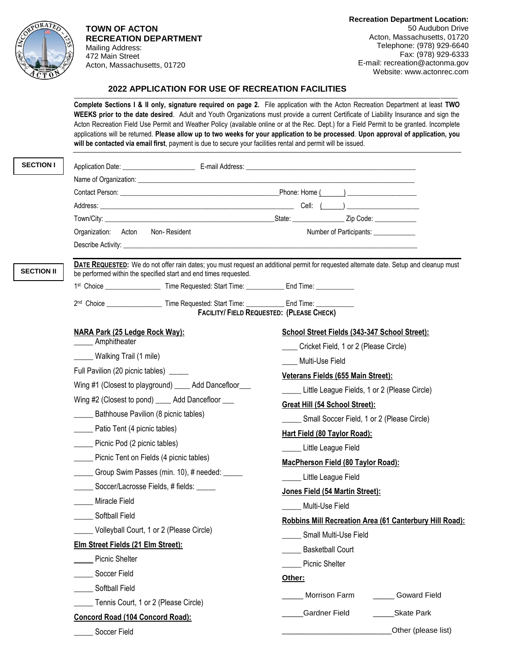

**TOWN OF ACTON RECREATION DEPARTMENT** Mailing Address: 472 Main Street Acton, Massachusetts, 01720

**Recreation Department Location:** 50 Audubon Drive Acton, Massachusetts, 01720 Telephone: (978) 929-6640 Fax: (978) 929-6333 E-mail: recreation@actonma.gov Website: www.actonrec.com

## \_\_\_\_\_\_\_\_\_\_\_\_\_\_\_\_\_\_\_\_\_\_\_\_\_\_\_\_\_\_\_\_\_\_\_\_\_\_\_\_\_\_\_\_\_\_\_\_\_\_\_\_\_\_\_\_\_\_\_\_\_\_\_\_\_\_\_\_\_\_\_\_\_\_\_\_\_\_\_\_\_\_\_\_\_\_\_\_\_\_\_  **2022 APPLICATION FOR USE OF RECREATION FACILITIES**

**Complete Sections I & II only, signature required on page 2.** File application with the Acton Recreation Department at least **TWO WEEKS prior to the date desired**. Adult and Youth Organizations must provide a current Certificate of Liability Insurance and sign the Acton Recreation Field Use Permit and Weather Policy (available online or at the Rec. Dept.) for a Field Permit to be granted. Incomplete applications will be returned. **Please allow up to two weeks for your application to be processed**. **Upon approval of application, you will be contacted via email first**, payment is due to secure your facilities rental and permit will be issued.

| <b>SECTION I</b>  |                                                                                                     |                                                                                                                                        |
|-------------------|-----------------------------------------------------------------------------------------------------|----------------------------------------------------------------------------------------------------------------------------------------|
|                   |                                                                                                     |                                                                                                                                        |
|                   |                                                                                                     |                                                                                                                                        |
|                   |                                                                                                     |                                                                                                                                        |
|                   |                                                                                                     |                                                                                                                                        |
|                   | Non-Resident<br>Organization: Acton                                                                 | Number of Participants: ____________                                                                                                   |
|                   |                                                                                                     |                                                                                                                                        |
| <b>SECTION II</b> | be performed within the specified start and end times requested.                                    | DATE REQUESTED: We do not offer rain dates; you must request an additional permit for requested alternate date. Setup and cleanup must |
|                   | 1st Choice ______________________Time Requested: Start Time: _______________End Time: _____________ |                                                                                                                                        |
|                   | 2nd Choice ______________________ Time Requested: Start Time: _____________ End Time: _____________ | FACILITY/ FIELD REQUESTED: (PLEASE CHECK)                                                                                              |
|                   | NARA Park (25 Ledge Rock Way):                                                                      | School Street Fields (343-347 School Street):                                                                                          |
|                   | _____ Amphitheater                                                                                  | __ Cricket Field, 1 or 2 (Please Circle)                                                                                               |
|                   | Walking Trail (1 mile)                                                                              | Multi-Use Field                                                                                                                        |
|                   | Full Pavilion (20 picnic tables) _____                                                              | Veterans Fields (655 Main Street):                                                                                                     |
|                   | Wing #1 (Closest to playground) ____ Add Dancefloor___                                              | Little League Fields, 1 or 2 (Please Circle)                                                                                           |
|                   | Wing #2 (Closest to pond) _____ Add Dancefloor ___                                                  | Great Hill (54 School Street):                                                                                                         |
|                   | Bathhouse Pavilion (8 picnic tables)                                                                | Small Soccer Field, 1 or 2 (Please Circle)                                                                                             |
|                   | ______ Patio Tent (4 picnic tables)                                                                 | Hart Field (80 Taylor Road):                                                                                                           |
|                   | ______ Picnic Pod (2 picnic tables)                                                                 | Little League Field                                                                                                                    |
|                   | _____ Picnic Tent on Fields (4 picnic tables)                                                       | MacPherson Field (80 Taylor Road):                                                                                                     |
|                   | Group Swim Passes (min. 10), # needed: _____                                                        | Little League Field                                                                                                                    |
|                   | Soccer/Lacrosse Fields, # fields: _____                                                             | Jones Field (54 Martin Street):                                                                                                        |
|                   | Miracle Field                                                                                       | Multi-Use Field                                                                                                                        |
|                   | Softball Field                                                                                      | Robbins Mill Recreation Area (61 Canterbury Hill Road):                                                                                |
|                   | _____ Volleyball Court, 1 or 2 (Please Circle)                                                      | Small Multi-Use Field                                                                                                                  |
|                   | Elm Street Fields (21 Elm Street):                                                                  | <b>Basketball Court</b>                                                                                                                |
|                   | <b>Picnic Shelter</b>                                                                               | <b>Picnic Shelter</b>                                                                                                                  |
|                   | Soccer Field                                                                                        | Other:                                                                                                                                 |
|                   | Softball Field                                                                                      | Morrison Farm<br><b>Goward Field</b>                                                                                                   |
|                   | Tennis Court, 1 or 2 (Please Circle)                                                                |                                                                                                                                        |
|                   | <b>Concord Road (104 Concord Road):</b>                                                             | <b>Gardner Field</b><br>Skate Park                                                                                                     |
|                   | Soccer Field                                                                                        | Other (please list)                                                                                                                    |
|                   |                                                                                                     |                                                                                                                                        |